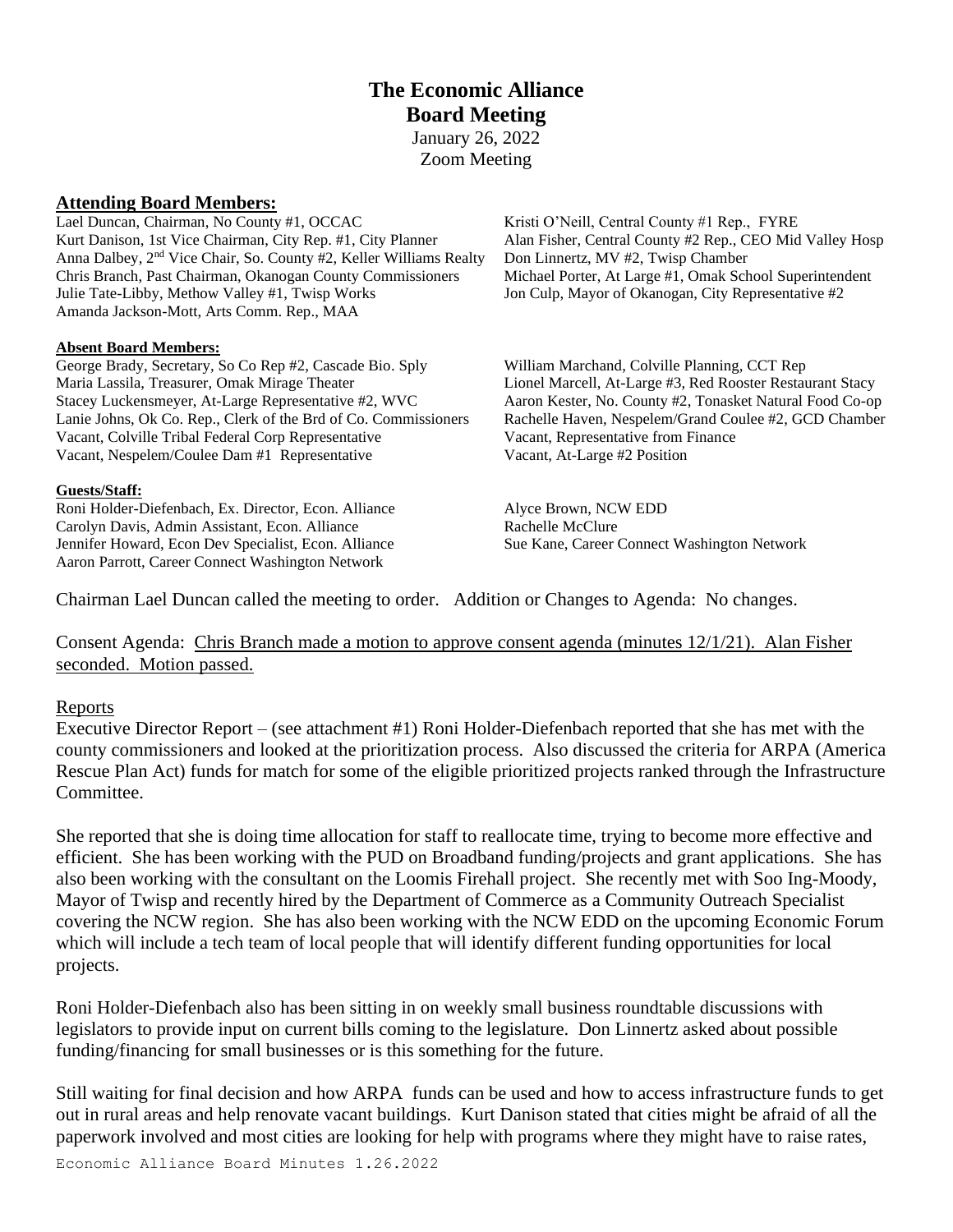# **The Economic Alliance Board Meeting**

January 26, 2022 Zoom Meeting

## **Attending Board Members:**

Lael Duncan, Chairman, No County #1, OCCAC Kristi O'Neill, Central County #1 Rep., FYRE Kurt Danison, 1st Vice Chairman, City Rep. #1, City Planner Alan Fisher, Central County #2 Rep., CEO Mid Valley Hosp Anna Dalbey, 2<sup>nd</sup> Vice Chair, So. County #2, Keller Williams Realty Don Linnertz, MV #2, Twisp Chamber Chris Branch, Past Chairman, Okanogan County Commissioners Michael Porter, At Large #1, Omak School Superintendent Julie Tate-Libby, Methow Valley #1, Twisp Works Jon Culp, Mayor of Okanogan, City Representative #2 Amanda Jackson-Mott, Arts Comm. Rep., MAA

#### **Absent Board Members:**

George Brady, Secretary, So Co Rep #2, Cascade Bio. Sply William Marchand, Colville Planning, CCT Rep Maria Lassila, Treasurer, Omak Mirage Theater Lionel Marcell, At-Large #3, Red Rooster Restaurant Stacy Stacey Luckensmeyer, At-Large Representative #2, WVC Aaron Kester, No. County #2, Tonasket Natural Food Co-op Lanie Johns, Ok Co. Rep., Clerk of the Brd of Co. Commissioners Rachelle Haven, Nespelem/Grand Coulee #2, GCD Chamber Vacant, Colville Tribal Federal Corp Representative Vacant, Representative from Finance Vacant, Nespelem/Coulee Dam #1 Representative Vacant, At-Large #2 Position

#### **Guests/Staff:**

Roni Holder-Diefenbach, Ex. Director, Econ. Alliance Alyce Brown, NCW EDD Carolyn Davis, Admin Assistant, Econ. Alliance Rachelle McClure Jennifer Howard, Econ Dev Specialist, Econ. Alliance Sue Kane, Career Connect Washington Network Aaron Parrott, Career Connect Washington Network

Chairman Lael Duncan called the meeting to order. Addition or Changes to Agenda: No changes.

Consent Agenda: Chris Branch made a motion to approve consent agenda (minutes 12/1/21). Alan Fisher seconded. Motion passed.

#### Reports

Executive Director Report – (see attachment #1) Roni Holder-Diefenbach reported that she has met with the county commissioners and looked at the prioritization process. Also discussed the criteria for ARPA (America Rescue Plan Act) funds for match for some of the eligible prioritized projects ranked through the Infrastructure Committee.

She reported that she is doing time allocation for staff to reallocate time, trying to become more effective and efficient. She has been working with the PUD on Broadband funding/projects and grant applications. She has also been working with the consultant on the Loomis Firehall project. She recently met with Soo Ing-Moody, Mayor of Twisp and recently hired by the Department of Commerce as a Community Outreach Specialist covering the NCW region. She has also been working with the NCW EDD on the upcoming Economic Forum which will include a tech team of local people that will identify different funding opportunities for local projects.

Roni Holder-Diefenbach also has been sitting in on weekly small business roundtable discussions with legislators to provide input on current bills coming to the legislature. Don Linnertz asked about possible funding/financing for small businesses or is this something for the future.

Still waiting for final decision and how ARPA funds can be used and how to access infrastructure funds to get out in rural areas and help renovate vacant buildings. Kurt Danison stated that cities might be afraid of all the paperwork involved and most cities are looking for help with programs where they might have to raise rates,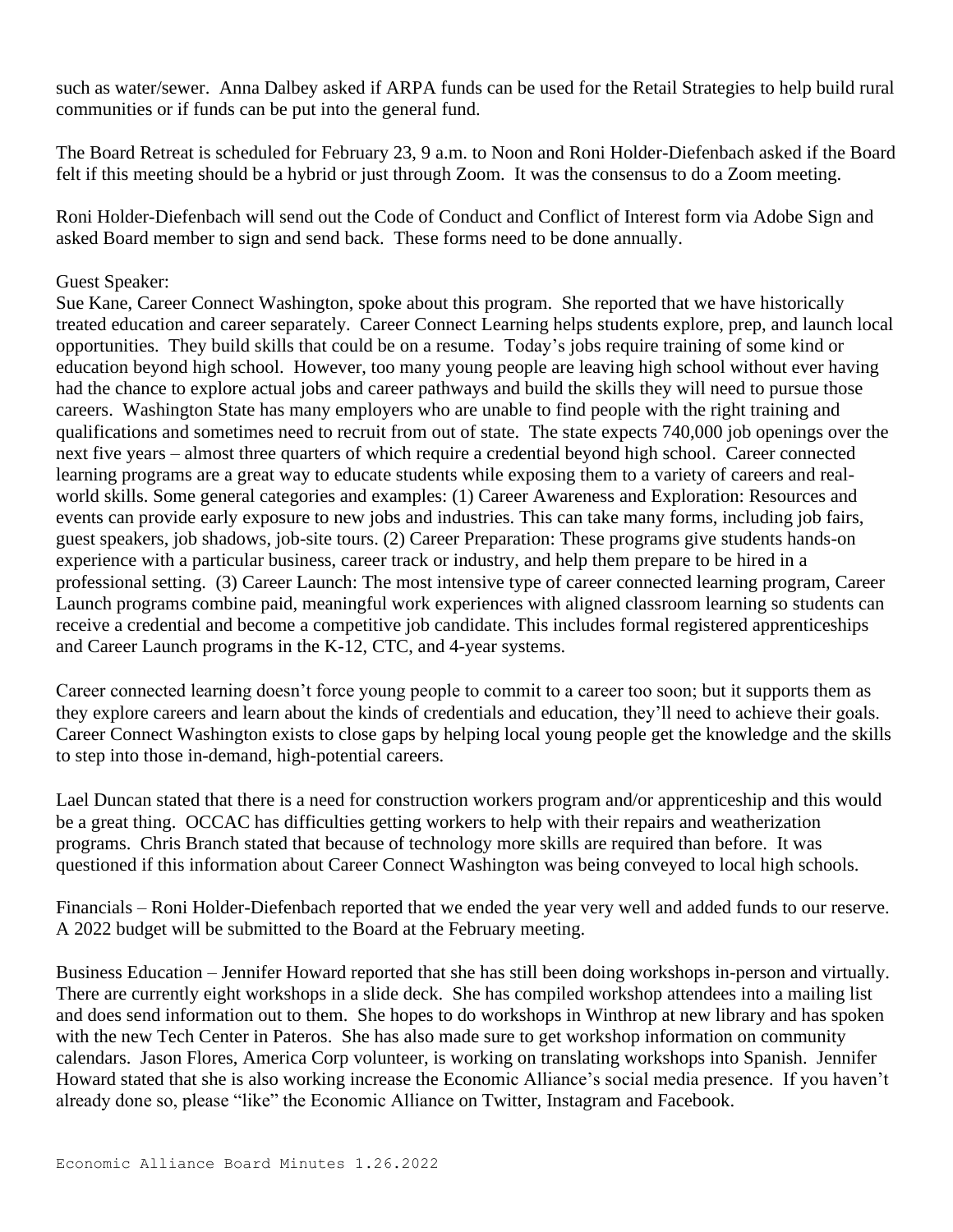such as water/sewer. Anna Dalbey asked if ARPA funds can be used for the Retail Strategies to help build rural communities or if funds can be put into the general fund.

The Board Retreat is scheduled for February 23, 9 a.m. to Noon and Roni Holder-Diefenbach asked if the Board felt if this meeting should be a hybrid or just through Zoom. It was the consensus to do a Zoom meeting.

Roni Holder-Diefenbach will send out the Code of Conduct and Conflict of Interest form via Adobe Sign and asked Board member to sign and send back. These forms need to be done annually.

## Guest Speaker:

Sue Kane, Career Connect Washington, spoke about this program. She reported that we have historically treated education and career separately. Career Connect Learning helps students explore, prep, and launch local opportunities. They build skills that could be on a resume. Today's jobs require training of some kind or education beyond high school. However, too many young people are leaving high school without ever having had the chance to explore actual jobs and career pathways and build the skills they will need to pursue those careers. Washington State has many employers who are unable to find people with the right training and qualifications and sometimes need to recruit from out of state. The state expects 740,000 job openings over the next five years – almost three quarters of which require a credential beyond high school. Career connected learning programs are a great way to educate students while exposing them to a variety of careers and realworld skills. Some general categories and examples: (1) Career Awareness and Exploration: Resources and events can provide early exposure to new jobs and industries. This can take many forms, including job fairs, guest speakers, job shadows, job-site tours. (2) Career Preparation: These programs give students hands-on experience with a particular business, career track or industry, and help them prepare to be hired in a professional setting. (3) Career Launch: The most intensive type of career connected learning program, Career Launch programs combine paid, meaningful work experiences with aligned classroom learning so students can receive a credential and become a competitive job candidate. This includes formal registered apprenticeships and Career Launch programs in the K-12, CTC, and 4-year systems.

Career connected learning doesn't force young people to commit to a career too soon; but it supports them as they explore careers and learn about the kinds of credentials and education, they'll need to achieve their goals. Career Connect Washington exists to close gaps by helping local young people get the knowledge and the skills to step into those in-demand, high-potential careers.

Lael Duncan stated that there is a need for construction workers program and/or apprenticeship and this would be a great thing. OCCAC has difficulties getting workers to help with their repairs and weatherization programs. Chris Branch stated that because of technology more skills are required than before. It was questioned if this information about Career Connect Washington was being conveyed to local high schools.

Financials – Roni Holder-Diefenbach reported that we ended the year very well and added funds to our reserve. A 2022 budget will be submitted to the Board at the February meeting.

Business Education – Jennifer Howard reported that she has still been doing workshops in-person and virtually. There are currently eight workshops in a slide deck. She has compiled workshop attendees into a mailing list and does send information out to them. She hopes to do workshops in Winthrop at new library and has spoken with the new Tech Center in Pateros. She has also made sure to get workshop information on community calendars. Jason Flores, America Corp volunteer, is working on translating workshops into Spanish. Jennifer Howard stated that she is also working increase the Economic Alliance's social media presence. If you haven't already done so, please "like" the Economic Alliance on Twitter, Instagram and Facebook.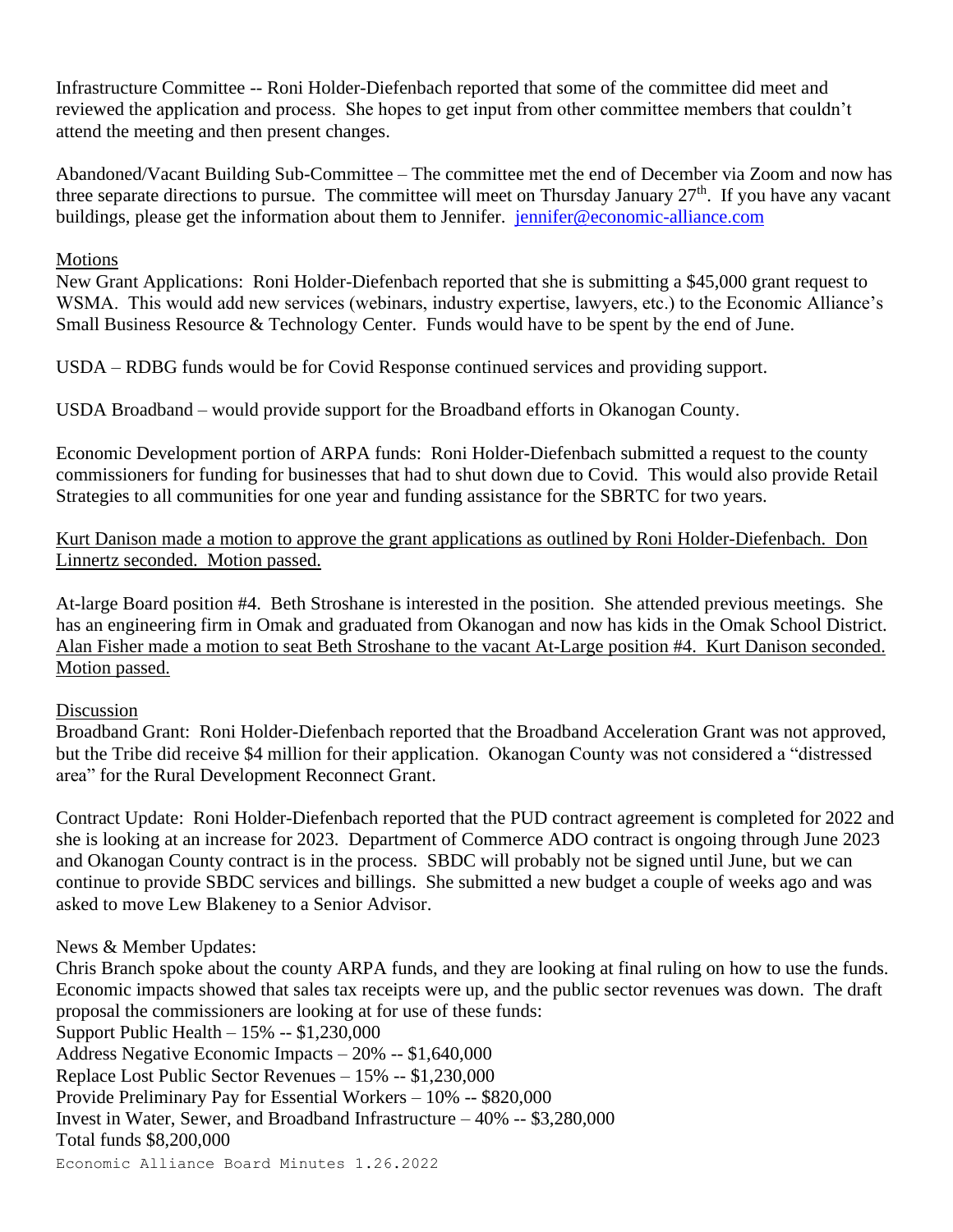Infrastructure Committee -- Roni Holder-Diefenbach reported that some of the committee did meet and reviewed the application and process. She hopes to get input from other committee members that couldn't attend the meeting and then present changes.

Abandoned/Vacant Building Sub-Committee – The committee met the end of December via Zoom and now has three separate directions to pursue. The committee will meet on Thursday January  $27<sup>th</sup>$ . If you have any vacant buildings, please get the information about them to Jennifer. [jennifer@economic-alliance.com](mailto:jennifer@economic-alliance.com)

## Motions

New Grant Applications: Roni Holder-Diefenbach reported that she is submitting a \$45,000 grant request to WSMA. This would add new services (webinars, industry expertise, lawyers, etc.) to the Economic Alliance's Small Business Resource & Technology Center. Funds would have to be spent by the end of June.

USDA – RDBG funds would be for Covid Response continued services and providing support.

USDA Broadband – would provide support for the Broadband efforts in Okanogan County.

Economic Development portion of ARPA funds: Roni Holder-Diefenbach submitted a request to the county commissioners for funding for businesses that had to shut down due to Covid. This would also provide Retail Strategies to all communities for one year and funding assistance for the SBRTC for two years.

Kurt Danison made a motion to approve the grant applications as outlined by Roni Holder-Diefenbach. Don Linnertz seconded. Motion passed.

At-large Board position #4. Beth Stroshane is interested in the position. She attended previous meetings. She has an engineering firm in Omak and graduated from Okanogan and now has kids in the Omak School District. Alan Fisher made a motion to seat Beth Stroshane to the vacant At-Large position #4. Kurt Danison seconded. Motion passed.

## Discussion

Broadband Grant: Roni Holder-Diefenbach reported that the Broadband Acceleration Grant was not approved, but the Tribe did receive \$4 million for their application. Okanogan County was not considered a "distressed area" for the Rural Development Reconnect Grant.

Contract Update: Roni Holder-Diefenbach reported that the PUD contract agreement is completed for 2022 and she is looking at an increase for 2023. Department of Commerce ADO contract is ongoing through June 2023 and Okanogan County contract is in the process. SBDC will probably not be signed until June, but we can continue to provide SBDC services and billings. She submitted a new budget a couple of weeks ago and was asked to move Lew Blakeney to a Senior Advisor.

## News & Member Updates:

Economic Alliance Board Minutes 1.26.2022 Chris Branch spoke about the county ARPA funds, and they are looking at final ruling on how to use the funds. Economic impacts showed that sales tax receipts were up, and the public sector revenues was down. The draft proposal the commissioners are looking at for use of these funds: Support Public Health – 15% -- \$1,230,000 Address Negative Economic Impacts – 20% -- \$1,640,000 Replace Lost Public Sector Revenues – 15% -- \$1,230,000 Provide Preliminary Pay for Essential Workers – 10% -- \$820,000 Invest in Water, Sewer, and Broadband Infrastructure – 40% -- \$3,280,000 Total funds \$8,200,000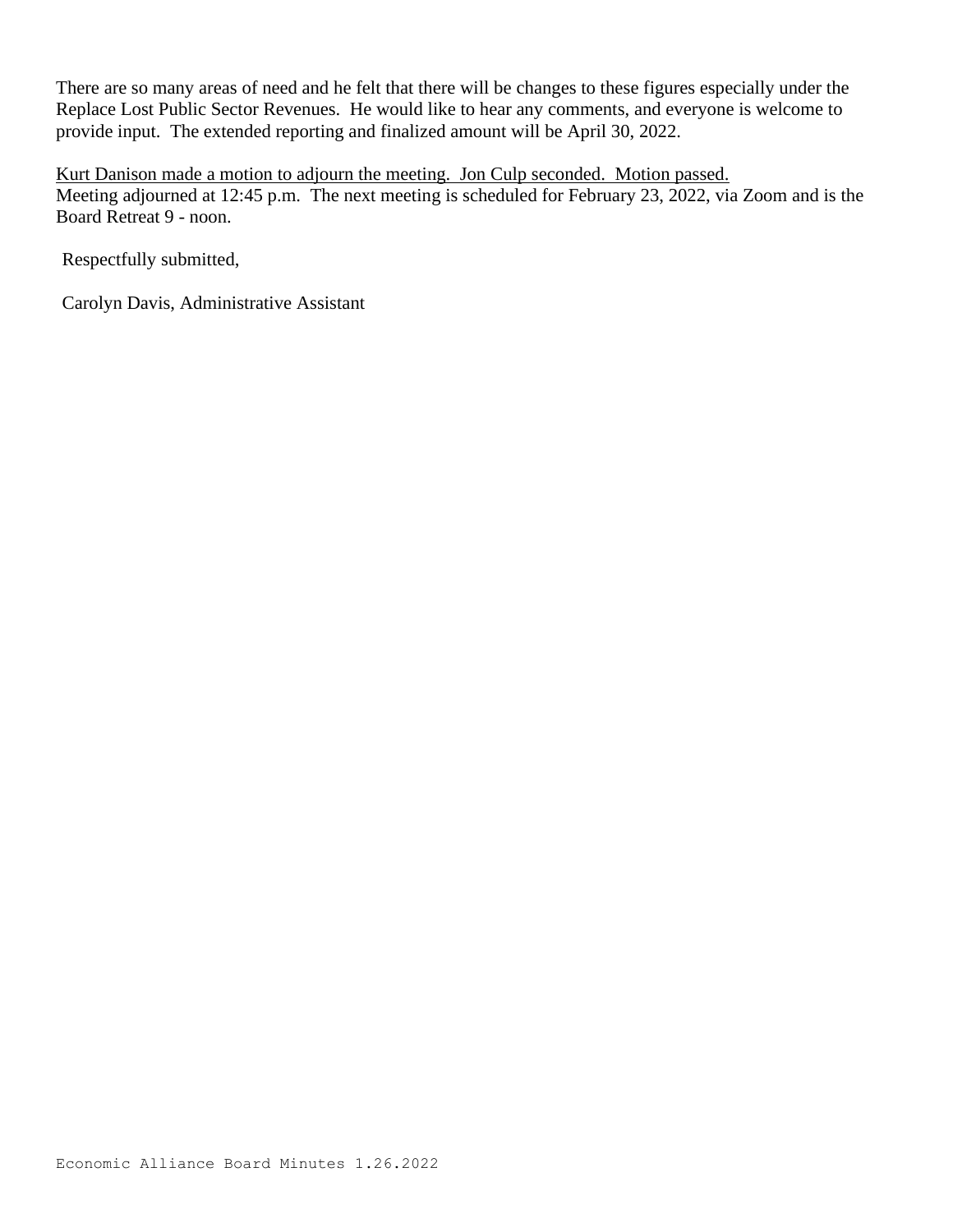There are so many areas of need and he felt that there will be changes to these figures especially under the Replace Lost Public Sector Revenues. He would like to hear any comments, and everyone is welcome to provide input. The extended reporting and finalized amount will be April 30, 2022.

Kurt Danison made a motion to adjourn the meeting. Jon Culp seconded. Motion passed. Meeting adjourned at 12:45 p.m. The next meeting is scheduled for February 23, 2022, via Zoom and is the Board Retreat 9 - noon.

Respectfully submitted,

Carolyn Davis, Administrative Assistant